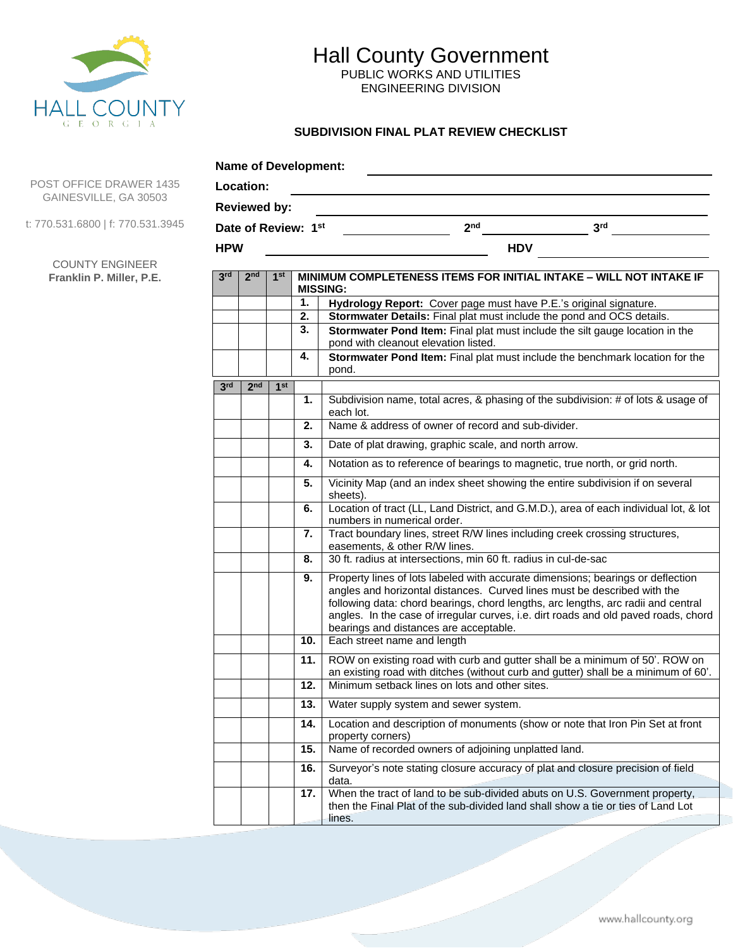

PUBLIC WORKS AND UTILITIES ENGINEERING DIVISION

### **SUBDIVISION FINAL PLAT REVIEW CHECKLIST**

|            | <b>Name of Development:</b> |                 |     |                                                                                                                                                                                                                                                                                                                                                                                   |
|------------|-----------------------------|-----------------|-----|-----------------------------------------------------------------------------------------------------------------------------------------------------------------------------------------------------------------------------------------------------------------------------------------------------------------------------------------------------------------------------------|
|            | Location:                   |                 |     |                                                                                                                                                                                                                                                                                                                                                                                   |
|            | <b>Reviewed by:</b>         |                 |     |                                                                                                                                                                                                                                                                                                                                                                                   |
|            | Date of Review: 1st         |                 |     | 2 <sub>nd</sub><br>3 <sup>rd</sup>                                                                                                                                                                                                                                                                                                                                                |
| <b>HPW</b> |                             |                 |     | <b>HDV</b>                                                                                                                                                                                                                                                                                                                                                                        |
| 3rd        | 2 <sub>nd</sub>             | 1 <sup>st</sup> |     | MINIMUM COMPLETENESS ITEMS FOR INITIAL INTAKE - WILL NOT INTAKE IF                                                                                                                                                                                                                                                                                                                |
|            |                             |                 | 1.  | <b>MISSING:</b><br>Hydrology Report: Cover page must have P.E.'s original signature.                                                                                                                                                                                                                                                                                              |
|            |                             |                 | 2.  | Stormwater Details: Final plat must include the pond and OCS details.                                                                                                                                                                                                                                                                                                             |
|            |                             |                 | 3.  | Stormwater Pond Item: Final plat must include the silt gauge location in the<br>pond with cleanout elevation listed.                                                                                                                                                                                                                                                              |
|            |                             |                 | 4.  | Stormwater Pond Item: Final plat must include the benchmark location for the<br>pond.                                                                                                                                                                                                                                                                                             |
| 3rd        | 2 <sub>nd</sub>             | 1 <sup>st</sup> |     |                                                                                                                                                                                                                                                                                                                                                                                   |
|            |                             |                 | 1.  | Subdivision name, total acres, & phasing of the subdivision: # of lots & usage of<br>each lot.                                                                                                                                                                                                                                                                                    |
|            |                             |                 | 2.  | Name & address of owner of record and sub-divider.                                                                                                                                                                                                                                                                                                                                |
|            |                             |                 | 3.  | Date of plat drawing, graphic scale, and north arrow.                                                                                                                                                                                                                                                                                                                             |
|            |                             |                 | 4.  | Notation as to reference of bearings to magnetic, true north, or grid north.                                                                                                                                                                                                                                                                                                      |
|            |                             |                 | 5.  | Vicinity Map (and an index sheet showing the entire subdivision if on several<br>sheets).                                                                                                                                                                                                                                                                                         |
|            |                             |                 | 6.  | Location of tract (LL, Land District, and G.M.D.), area of each individual lot, & lot<br>numbers in numerical order.                                                                                                                                                                                                                                                              |
|            |                             |                 | 7.  | Tract boundary lines, street R/W lines including creek crossing structures,<br>easements, & other R/W lines.                                                                                                                                                                                                                                                                      |
|            |                             |                 | 8.  | 30 ft. radius at intersections, min 60 ft. radius in cul-de-sac                                                                                                                                                                                                                                                                                                                   |
|            |                             |                 | 9.  | Property lines of lots labeled with accurate dimensions; bearings or deflection<br>angles and horizontal distances. Curved lines must be described with the<br>following data: chord bearings, chord lengths, arc lengths, arc radii and central<br>angles. In the case of irregular curves, i.e. dirt roads and old paved roads, chord<br>bearings and distances are acceptable. |
|            |                             |                 | 10. | Each street name and length                                                                                                                                                                                                                                                                                                                                                       |
|            |                             |                 | 11. | ROW on existing road with curb and gutter shall be a minimum of 50'. ROW on<br>an existing road with ditches (without curb and gutter) shall be a minimum of 60'.                                                                                                                                                                                                                 |
|            |                             |                 | 12. | Minimum setback lines on lots and other sites.                                                                                                                                                                                                                                                                                                                                    |
|            |                             |                 | 13. | Water supply system and sewer system.                                                                                                                                                                                                                                                                                                                                             |
|            |                             |                 | 14. | Location and description of monuments (show or note that Iron Pin Set at front<br>property corners)                                                                                                                                                                                                                                                                               |
|            |                             |                 | 15. | Name of recorded owners of adjoining unplatted land.                                                                                                                                                                                                                                                                                                                              |
|            |                             |                 | 16. | Surveyor's note stating closure accuracy of plat and closure precision of field<br>data.                                                                                                                                                                                                                                                                                          |
|            |                             |                 | 17. | When the tract of land to be sub-divided abuts on U.S. Government property,<br>then the Final Plat of the sub-divided land shall show a tie or ties of Land Lot                                                                                                                                                                                                                   |
|            |                             |                 |     | lines.                                                                                                                                                                                                                                                                                                                                                                            |

POST OFFICE DRAWEI GAINESVILLE, GA 30

t: 770.531.6800 | f: 770.53

**COUNTY ENGINEE Franklin P. Miller, P.**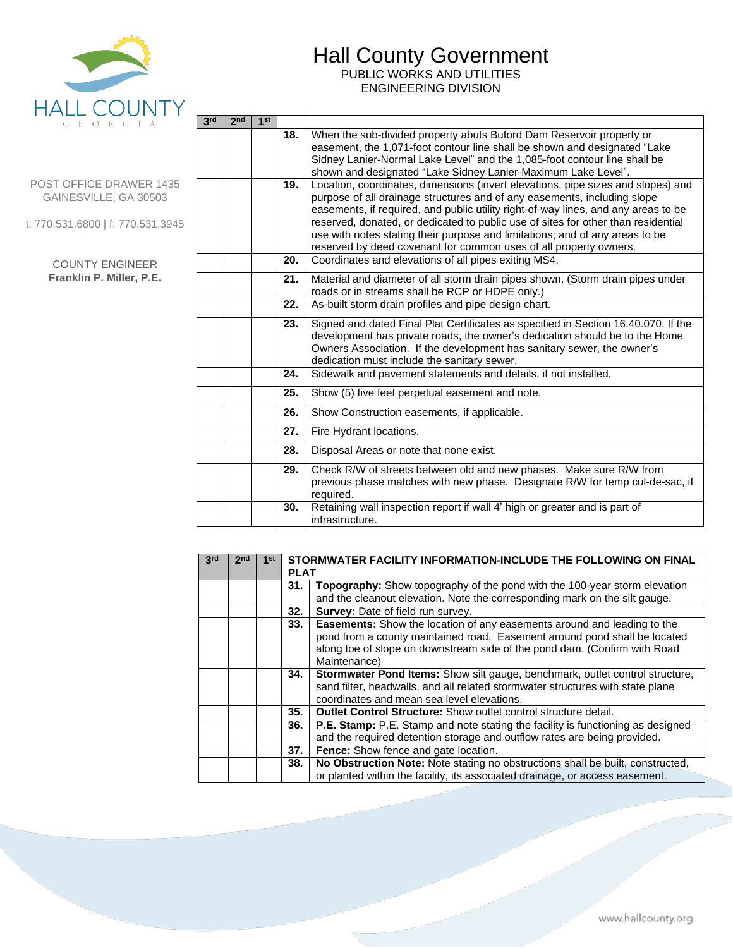

PUBLIC WORKS AND UTILITIES ENGINEERING DIVISION

#### POST OFFICE DRAWER 1435 GAINESVILLE, GA 30503

t: 770.531.6800 | f: 770.531.3945

#### COUNTY ENGINEER **Franklin P. Miller, P.E.**

| 3 <sub>rd</sub> | 2 <sub>nd</sub> | 1 <sup>st</sup> |     |                                                                                    |
|-----------------|-----------------|-----------------|-----|------------------------------------------------------------------------------------|
|                 |                 |                 | 18. | When the sub-divided property abuts Buford Dam Reservoir property or               |
|                 |                 |                 |     | easement, the 1,071-foot contour line shall be shown and designated "Lake"         |
|                 |                 |                 |     | Sidney Lanier-Normal Lake Level" and the 1,085-foot contour line shall be          |
|                 |                 |                 |     | shown and designated "Lake Sidney Lanier-Maximum Lake Level".                      |
|                 |                 |                 | 19. | Location, coordinates, dimensions (invert elevations, pipe sizes and slopes) and   |
|                 |                 |                 |     | purpose of all drainage structures and of any easements, including slope           |
|                 |                 |                 |     | easements, if required, and public utility right-of-way lines, and any areas to be |
|                 |                 |                 |     | reserved, donated, or dedicated to public use of sites for other than residential  |
|                 |                 |                 |     | use with notes stating their purpose and limitations; and of any areas to be       |
|                 |                 |                 |     | reserved by deed covenant for common uses of all property owners.                  |
|                 |                 |                 | 20. | Coordinates and elevations of all pipes exiting MS4.                               |
|                 |                 |                 | 21. | Material and diameter of all storm drain pipes shown. (Storm drain pipes under     |
|                 |                 |                 |     | roads or in streams shall be RCP or HDPE only.)                                    |
|                 |                 |                 | 22. | As-built storm drain profiles and pipe design chart.                               |
|                 |                 |                 | 23. | Signed and dated Final Plat Certificates as specified in Section 16.40.070. If the |
|                 |                 |                 |     | development has private roads, the owner's dedication should be to the Home        |
|                 |                 |                 |     | Owners Association. If the development has sanitary sewer, the owner's             |
|                 |                 |                 |     | dedication must include the sanitary sewer.                                        |
|                 |                 |                 | 24. | Sidewalk and pavement statements and details, if not installed.                    |
|                 |                 |                 | 25. | Show (5) five feet perpetual easement and note.                                    |
|                 |                 |                 | 26. | Show Construction easements, if applicable.                                        |
|                 |                 |                 | 27. | Fire Hydrant locations.                                                            |
|                 |                 |                 | 28. | Disposal Areas or note that none exist.                                            |
|                 |                 |                 | 29. | Check R/W of streets between old and new phases. Make sure R/W from                |
|                 |                 |                 |     | previous phase matches with new phase. Designate R/W for temp cul-de-sac, if       |
|                 |                 |                 |     | required.                                                                          |
|                 |                 |                 | 30. | Retaining wall inspection report if wall 4' high or greater and is part of         |
|                 |                 |                 |     | infrastructure.                                                                    |
|                 |                 |                 |     |                                                                                    |

| 3rd | 2 <sub>nd</sub> | 1 <sub>st</sub> | STORMWATER FACILITY INFORMATION-INCLUDE THE FOLLOWING ON FINAL<br><b>PLAT</b> |                                                                                        |  |
|-----|-----------------|-----------------|-------------------------------------------------------------------------------|----------------------------------------------------------------------------------------|--|
|     |                 |                 | 31.                                                                           | Topography: Show topography of the pond with the 100-year storm elevation              |  |
|     |                 |                 |                                                                               | and the cleanout elevation. Note the corresponding mark on the silt gauge.             |  |
|     |                 |                 | 32.                                                                           | <b>Survey: Date of field run survey.</b>                                               |  |
|     |                 |                 | 33.                                                                           | <b>Easements:</b> Show the location of any easements around and leading to the         |  |
|     |                 |                 |                                                                               | pond from a county maintained road. Easement around pond shall be located              |  |
|     |                 |                 |                                                                               | along toe of slope on downstream side of the pond dam. (Confirm with Road              |  |
|     |                 |                 |                                                                               | Maintenance)                                                                           |  |
|     |                 |                 | 34.                                                                           | <b>Stormwater Pond Items:</b> Show silt gauge, benchmark, outlet control structure,    |  |
|     |                 |                 |                                                                               | sand filter, headwalls, and all related stormwater structures with state plane         |  |
|     |                 |                 |                                                                               | coordinates and mean sea level elevations.                                             |  |
|     |                 |                 | 35.                                                                           | <b>Outlet Control Structure:</b> Show outlet control structure detail.                 |  |
|     |                 |                 | 36.                                                                           | <b>P.E. Stamp:</b> P.E. Stamp and note stating the facility is functioning as designed |  |
|     |                 |                 |                                                                               | and the required detention storage and outflow rates are being provided.               |  |
|     |                 |                 | 37.                                                                           | Fence: Show fence and gate location.                                                   |  |
|     |                 |                 | 38.                                                                           | No Obstruction Note: Note stating no obstructions shall be built, constructed,         |  |
|     |                 |                 |                                                                               | or planted within the facility, its associated drainage, or access easement.           |  |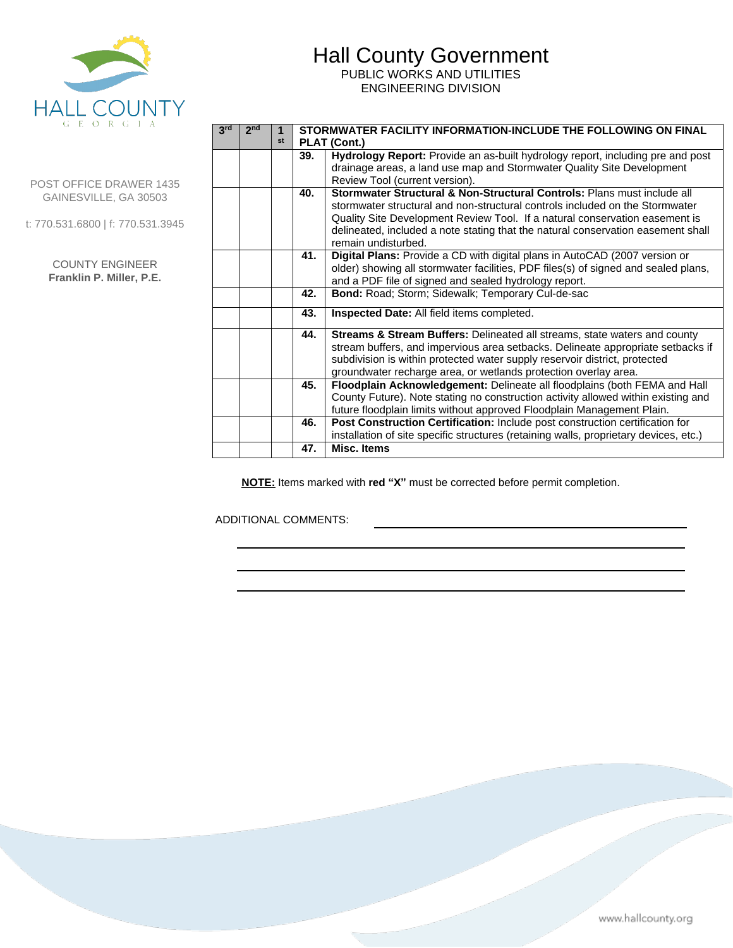

PUBLIC WORKS AND UTILITIES ENGINEERING DIVISION

| POST OFFICE DRAWER 1435 |  |
|-------------------------|--|
| GAINESVILLE, GA 30503   |  |

t: 770.531.6800 | f: 770.531.3945

| <b>COUNTY ENGINEER</b>   |  |  |
|--------------------------|--|--|
| Franklin P. Miller, P.E. |  |  |

| 3 <sup>rd</sup> | 2 <sub>nd</sub> |    |     | STORMWATER FACILITY INFORMATION-INCLUDE THE FOLLOWING ON FINAL                                           |  |  |
|-----------------|-----------------|----|-----|----------------------------------------------------------------------------------------------------------|--|--|
|                 |                 | st |     | PLAT (Cont.)                                                                                             |  |  |
|                 |                 |    | 39. | Hydrology Report: Provide an as-built hydrology report, including pre and post                           |  |  |
|                 |                 |    |     | drainage areas, a land use map and Stormwater Quality Site Development<br>Review Tool (current version). |  |  |
|                 |                 |    | 40. | Stormwater Structural & Non-Structural Controls: Plans must include all                                  |  |  |
|                 |                 |    |     | stormwater structural and non-structural controls included on the Stormwater                             |  |  |
|                 |                 |    |     | Quality Site Development Review Tool. If a natural conservation easement is                              |  |  |
|                 |                 |    |     | delineated, included a note stating that the natural conservation easement shall<br>remain undisturbed.  |  |  |
|                 |                 |    | 41. | Digital Plans: Provide a CD with digital plans in AutoCAD (2007 version or                               |  |  |
|                 |                 |    |     | older) showing all stormwater facilities, PDF files(s) of signed and sealed plans,                       |  |  |
|                 |                 |    |     | and a PDF file of signed and sealed hydrology report.                                                    |  |  |
|                 |                 |    | 42. | Bond: Road; Storm; Sidewalk; Temporary Cul-de-sac                                                        |  |  |
|                 |                 |    | 43. | Inspected Date: All field items completed.                                                               |  |  |
|                 |                 |    | 44. | <b>Streams &amp; Stream Buffers: Delineated all streams, state waters and county</b>                     |  |  |
|                 |                 |    |     | stream buffers, and impervious area setbacks. Delineate appropriate setbacks if                          |  |  |
|                 |                 |    |     | subdivision is within protected water supply reservoir district, protected                               |  |  |
|                 |                 |    |     | groundwater recharge area, or wetlands protection overlay area.                                          |  |  |
|                 |                 |    | 45. | Floodplain Acknowledgement: Delineate all floodplains (both FEMA and Hall                                |  |  |
|                 |                 |    |     | County Future). Note stating no construction activity allowed within existing and                        |  |  |
|                 |                 |    |     | future floodplain limits without approved Floodplain Management Plain.                                   |  |  |
|                 |                 |    | 46. | Post Construction Certification: Include post construction certification for                             |  |  |
|                 |                 |    |     | installation of site specific structures (retaining walls, proprietary devices, etc.)                    |  |  |
|                 |                 |    | 47. | Misc. Items                                                                                              |  |  |

**NOTE:** Items marked with **red "X"** must be corrected before permit completion.

ADDITIONAL COMMENTS:

┑